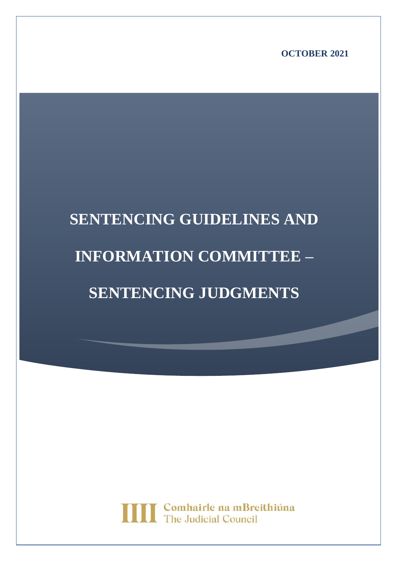**OCTOBER 2021**

# **SENTENCING GUIDELINES AND INFORMATION COMMITTEE – SENTENCING JUDGMENTS**

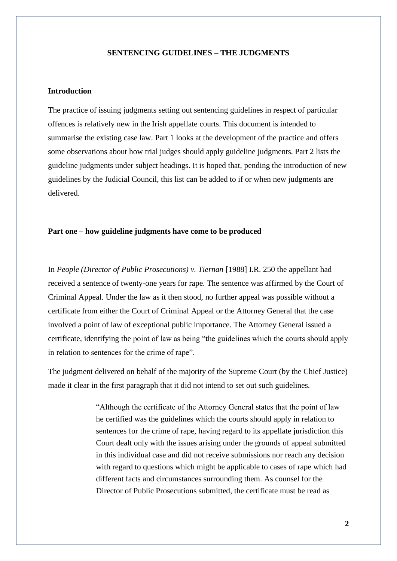#### **SENTENCING GUIDELINES – THE JUDGMENTS**

## **Introduction**

The practice of issuing judgments setting out sentencing guidelines in respect of particular offences is relatively new in the Irish appellate courts. This document is intended to summarise the existing case law. Part 1 looks at the development of the practice and offers some observations about how trial judges should apply guideline judgments. Part 2 lists the guideline judgments under subject headings. It is hoped that, pending the introduction of new guidelines by the Judicial Council, this list can be added to if or when new judgments are delivered.

#### **Part one – how guideline judgments have come to be produced**

In *People (Director of Public Prosecutions) v. Tiernan* [1988] I.R. 250 the appellant had received a sentence of twenty-one years for rape. The sentence was affirmed by the Court of Criminal Appeal. Under the law as it then stood, no further appeal was possible without a certificate from either the Court of Criminal Appeal or the Attorney General that the case involved a point of law of exceptional public importance. The Attorney General issued a certificate, identifying the point of law as being "the guidelines which the courts should apply in relation to sentences for the crime of rape".

The judgment delivered on behalf of the majority of the Supreme Court (by the Chief Justice) made it clear in the first paragraph that it did not intend to set out such guidelines.

> "Although the certificate of the Attorney General states that the point of law he certified was the guidelines which the courts should apply in relation to sentences for the crime of rape, having regard to its appellate jurisdiction this Court dealt only with the issues arising under the grounds of appeal submitted in this individual case and did not receive submissions nor reach any decision with regard to questions which might be applicable to cases of rape which had different facts and circumstances surrounding them. As counsel for the Director of Public Prosecutions submitted, the certificate must be read as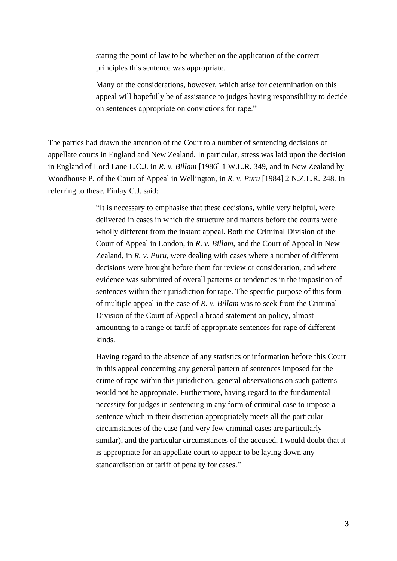stating the point of law to be whether on the application of the correct principles this sentence was appropriate.

Many of the considerations, however, which arise for determination on this appeal will hopefully be of assistance to judges having responsibility to decide on sentences appropriate on convictions for rape."

The parties had drawn the attention of the Court to a number of sentencing decisions of appellate courts in England and New Zealand. In particular, stress was laid upon the decision in England of Lord Lane L.C.J. in *R. v. Billam* [1986] 1 W.L.R. 349, and in New Zealand by Woodhouse P. of the Court of Appeal in Wellington, in *R. v. Puru* [1984] 2 N.Z.L.R. 248. In referring to these, Finlay C.J. said:

> "It is necessary to emphasise that these decisions, while very helpful, were delivered in cases in which the structure and matters before the courts were wholly different from the instant appeal. Both the Criminal Division of the Court of Appeal in London, in *R. v. Billam*, and the Court of Appeal in New Zealand, in *R. v. Puru*, were dealing with cases where a number of different decisions were brought before them for review or consideration, and where evidence was submitted of overall patterns or tendencies in the imposition of sentences within their jurisdiction for rape. The specific purpose of this form of multiple appeal in the case of *R. v. Billam* was to seek from the Criminal Division of the Court of Appeal a broad statement on policy, almost amounting to a range or tariff of appropriate sentences for rape of different kinds.

Having regard to the absence of any statistics or information before this Court in this appeal concerning any general pattern of sentences imposed for the crime of rape within this jurisdiction, general observations on such patterns would not be appropriate. Furthermore, having regard to the fundamental necessity for judges in sentencing in any form of criminal case to impose a sentence which in their discretion appropriately meets all the particular circumstances of the case (and very few criminal cases are particularly similar), and the particular circumstances of the accused, I would doubt that it is appropriate for an appellate court to appear to be laying down any standardisation or tariff of penalty for cases."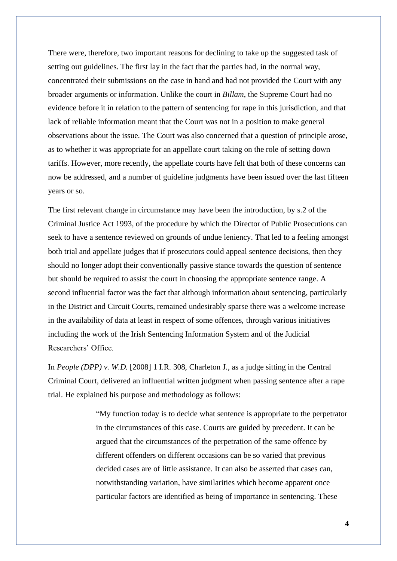There were, therefore, two important reasons for declining to take up the suggested task of setting out guidelines. The first lay in the fact that the parties had, in the normal way, concentrated their submissions on the case in hand and had not provided the Court with any broader arguments or information. Unlike the court in *Billam*, the Supreme Court had no evidence before it in relation to the pattern of sentencing for rape in this jurisdiction, and that lack of reliable information meant that the Court was not in a position to make general observations about the issue. The Court was also concerned that a question of principle arose, as to whether it was appropriate for an appellate court taking on the role of setting down tariffs. However, more recently, the appellate courts have felt that both of these concerns can now be addressed, and a number of guideline judgments have been issued over the last fifteen years or so.

The first relevant change in circumstance may have been the introduction, by s.2 of the Criminal Justice Act 1993, of the procedure by which the Director of Public Prosecutions can seek to have a sentence reviewed on grounds of undue leniency. That led to a feeling amongst both trial and appellate judges that if prosecutors could appeal sentence decisions, then they should no longer adopt their conventionally passive stance towards the question of sentence but should be required to assist the court in choosing the appropriate sentence range. A second influential factor was the fact that although information about sentencing, particularly in the District and Circuit Courts, remained undesirably sparse there was a welcome increase in the availability of data at least in respect of some offences, through various initiatives including the work of the Irish Sentencing Information System and of the Judicial Researchers' Office.

In *People (DPP) v. W.D.* [2008] 1 I.R. 308, Charleton J., as a judge sitting in the Central Criminal Court, delivered an influential written judgment when passing sentence after a rape trial. He explained his purpose and methodology as follows:

> "My function today is to decide what sentence is appropriate to the perpetrator in the circumstances of this case. Courts are guided by precedent. It can be argued that the circumstances of the perpetration of the same offence by different offenders on different occasions can be so varied that previous decided cases are of little assistance. It can also be asserted that cases can, notwithstanding variation, have similarities which become apparent once particular factors are identified as being of importance in sentencing. These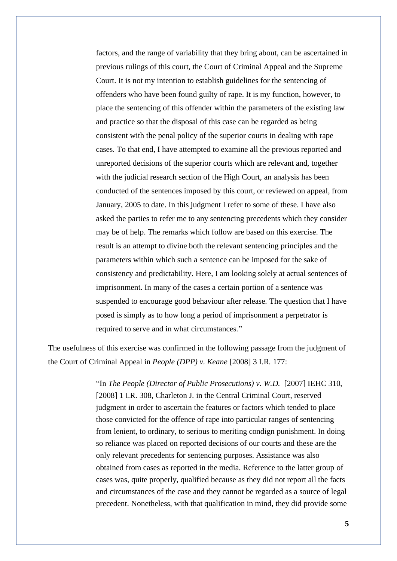factors, and the range of variability that they bring about, can be ascertained in previous rulings of this court, the Court of Criminal Appeal and the Supreme Court. It is not my intention to establish guidelines for the sentencing of offenders who have been found guilty of rape. It is my function, however, to place the sentencing of this offender within the parameters of the existing law and practice so that the disposal of this case can be regarded as being consistent with the penal policy of the superior courts in dealing with rape cases. To that end, I have attempted to examine all the previous reported and unreported decisions of the superior courts which are relevant and, together with the judicial research section of the High Court, an analysis has been conducted of the sentences imposed by this court, or reviewed on appeal, from January, 2005 to date. In this judgment I refer to some of these. I have also asked the parties to refer me to any sentencing precedents which they consider may be of help. The remarks which follow are based on this exercise. The result is an attempt to divine both the relevant sentencing principles and the parameters within which such a sentence can be imposed for the sake of consistency and predictability. Here, I am looking solely at actual sentences of imprisonment. In many of the cases a certain portion of a sentence was suspended to encourage good behaviour after release. The question that I have posed is simply as to how long a period of imprisonment a perpetrator is required to serve and in what circumstances."

The usefulness of this exercise was confirmed in the following passage from the judgment of the Court of Criminal Appeal in *People (DPP) v. Keane* [2008] 3 I.R. 177:

> "In *The People (Director of Public Prosecutions) v. W.D.* [2007] IEHC 310, [2008] 1 I.R. 308, Charleton J. in the Central Criminal Court, reserved judgment in order to ascertain the features or factors which tended to place those convicted for the offence of rape into particular ranges of sentencing from lenient, to ordinary, to serious to meriting condign punishment. In doing so reliance was placed on reported decisions of our courts and these are the only relevant precedents for sentencing purposes. Assistance was also obtained from cases as reported in the media. Reference to the latter group of cases was, quite properly, qualified because as they did not report all the facts and circumstances of the case and they cannot be regarded as a source of legal precedent. Nonetheless, with that qualification in mind, they did provide some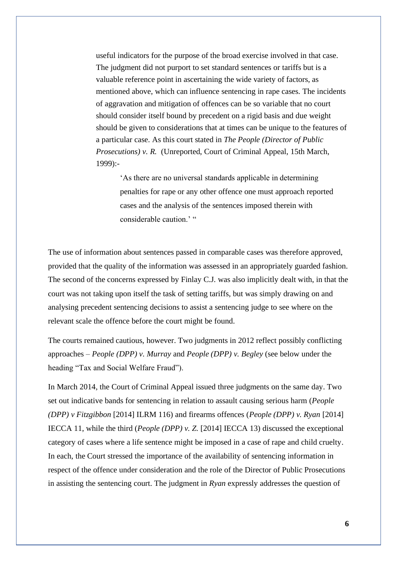useful indicators for the purpose of the broad exercise involved in that case. The judgment did not purport to set standard sentences or tariffs but is a valuable reference point in ascertaining the wide variety of factors, as mentioned above, which can influence sentencing in rape cases. The incidents of aggravation and mitigation of offences can be so variable that no court should consider itself bound by precedent on a rigid basis and due weight should be given to considerations that at times can be unique to the features of a particular case. As this court stated in *The People (Director of Public Prosecutions) v. R.* (Unreported, Court of Criminal Appeal, 15th March, 1999):-

'As there are no universal standards applicable in determining penalties for rape or any other offence one must approach reported cases and the analysis of the sentences imposed therein with considerable caution.' "

The use of information about sentences passed in comparable cases was therefore approved, provided that the quality of the information was assessed in an appropriately guarded fashion. The second of the concerns expressed by Finlay C.J. was also implicitly dealt with, in that the court was not taking upon itself the task of setting tariffs, but was simply drawing on and analysing precedent sentencing decisions to assist a sentencing judge to see where on the relevant scale the offence before the court might be found.

The courts remained cautious, however. Two judgments in 2012 reflect possibly conflicting approaches – *People (DPP) v. Murray* and *People (DPP) v. Begley* (see below under the heading "Tax and Social Welfare Fraud").

In March 2014, the Court of Criminal Appeal issued three judgments on the same day. Two set out indicative bands for sentencing in relation to assault causing serious harm (*People (DPP) v Fitzgibbon* [2014] ILRM 116) and firearms offences (*People (DPP) v. Ryan* [2014] IECCA 11, while the third (*People (DPP) v. Z.* [2014] IECCA 13) discussed the exceptional category of cases where a life sentence might be imposed in a case of rape and child cruelty. In each, the Court stressed the importance of the availability of sentencing information in respect of the offence under consideration and the role of the Director of Public Prosecutions in assisting the sentencing court. The judgment in *Ryan* expressly addresses the question of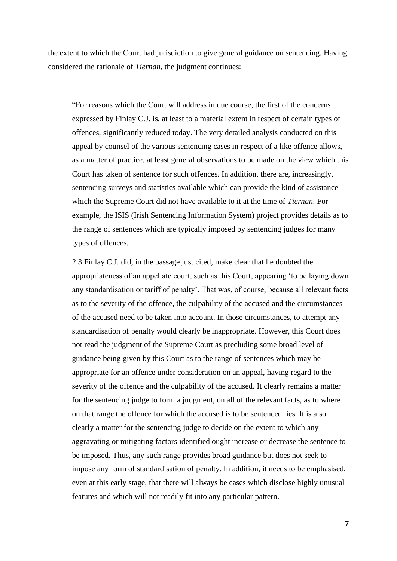the extent to which the Court had jurisdiction to give general guidance on sentencing. Having considered the rationale of *Tiernan*, the judgment continues:

"For reasons which the Court will address in due course, the first of the concerns expressed by Finlay C.J. is, at least to a material extent in respect of certain types of offences, significantly reduced today. The very detailed analysis conducted on this appeal by counsel of the various sentencing cases in respect of a like offence allows, as a matter of practice, at least general observations to be made on the view which this Court has taken of sentence for such offences. In addition, there are, increasingly, sentencing surveys and statistics available which can provide the kind of assistance which the Supreme Court did not have available to it at the time of *Tiernan*. For example, the ISIS (Irish Sentencing Information System) project provides details as to the range of sentences which are typically imposed by sentencing judges for many types of offences.

2.3 Finlay C.J. did, in the passage just cited, make clear that he doubted the appropriateness of an appellate court, such as this Court, appearing 'to be laying down any standardisation or tariff of penalty'. That was, of course, because all relevant facts as to the severity of the offence, the culpability of the accused and the circumstances of the accused need to be taken into account. In those circumstances, to attempt any standardisation of penalty would clearly be inappropriate. However, this Court does not read the judgment of the Supreme Court as precluding some broad level of guidance being given by this Court as to the range of sentences which may be appropriate for an offence under consideration on an appeal, having regard to the severity of the offence and the culpability of the accused. It clearly remains a matter for the sentencing judge to form a judgment, on all of the relevant facts, as to where on that range the offence for which the accused is to be sentenced lies. It is also clearly a matter for the sentencing judge to decide on the extent to which any aggravating or mitigating factors identified ought increase or decrease the sentence to be imposed. Thus, any such range provides broad guidance but does not seek to impose any form of standardisation of penalty. In addition, it needs to be emphasised, even at this early stage, that there will always be cases which disclose highly unusual features and which will not readily fit into any particular pattern.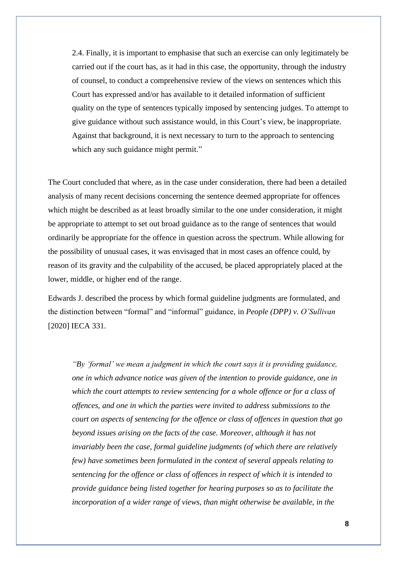2.4. Finally, it is important to emphasise that such an exercise can only legitimately be carried out if the court has, as it had in this case, the opportunity, through the industry of counsel, to conduct a comprehensive review of the views on sentences which this Court has expressed and/or has available to it detailed information of sufficient quality on the type of sentences typically imposed by sentencing judges. To attempt to give guidance without such assistance would, in this Court's view, be inappropriate. Against that background, it is next necessary to turn to the approach to sentencing which any such guidance might permit."

The Court concluded that where, as in the case under consideration, there had been a detailed analysis of many recent decisions concerning the sentence deemed appropriate for offences which might be described as at least broadly similar to the one under consideration, it might be appropriate to attempt to set out broad guidance as to the range of sentences that would ordinarily be appropriate for the offence in question across the spectrum. While allowing for the possibility of unusual cases, it was envisaged that in most cases an offence could, by reason of its gravity and the culpability of the accused, be placed appropriately placed at the lower, middle, or higher end of the range.

Edwards J. described the process by which formal guideline judgments are formulated, and the distinction between "formal" and "informal" guidance, in *People (DPP) v. O'Sullivan* [2020] IECA 331.

*"By 'formal' we mean a judgment in which the court says it is providing guidance, one in which advance notice was given of the intention to provide guidance, one in which the court attempts to review sentencing for a whole offence or for a class of offences, and one in which the parties were invited to address submissions to the court on aspects of sentencing for the offence or class of offences in question that go beyond issues arising on the facts of the case. Moreover, although it has not invariably been the case, formal guideline judgments (of which there are relatively few) have sometimes been formulated in the context of several appeals relating to sentencing for the offence or class of offences in respect of which it is intended to provide guidance being listed together for hearing purposes so as to facilitate the incorporation of a wider range of views, than might otherwise be available, in the*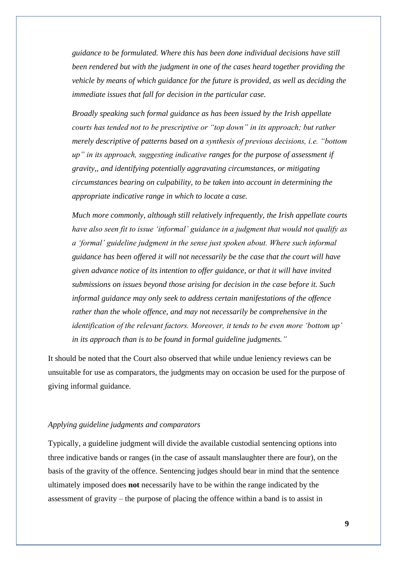*guidance to be formulated. Where this has been done individual decisions have still been rendered but with the judgment in one of the cases heard together providing the vehicle by means of which guidance for the future is provided, as well as deciding the immediate issues that fall for decision in the particular case.*

*Broadly speaking such formal guidance as has been issued by the Irish appellate courts has tended not to be prescriptive or "top down" in its approach; but rather merely descriptive of patterns based on a synthesis of previous decisions, i.e. "bottom up" in its approach, suggesting indicative ranges for the purpose of assessment if gravity,, and identifying potentially aggravating circumstances, or mitigating circumstances bearing on culpability, to be taken into account in determining the appropriate indicative range in which to locate a case.*

*Much more commonly, although still relatively infrequently, the Irish appellate courts have also seen fit to issue 'informal' guidance in a judgment that would not qualify as a 'formal' guideline judgment in the sense just spoken about. Where such informal guidance has been offered it will not necessarily be the case that the court will have given advance notice of its intention to offer guidance, or that it will have invited submissions on issues beyond those arising for decision in the case before it. Such informal guidance may only seek to address certain manifestations of the offence rather than the whole offence, and may not necessarily be comprehensive in the identification of the relevant factors. Moreover, it tends to be even more 'bottom up' in its approach than is to be found in formal guideline judgments."*

It should be noted that the Court also observed that while undue leniency reviews can be unsuitable for use as comparators, the judgments may on occasion be used for the purpose of giving informal guidance.

#### *Applying guideline judgments and comparators*

Typically, a guideline judgment will divide the available custodial sentencing options into three indicative bands or ranges (in the case of assault manslaughter there are four), on the basis of the gravity of the offence. Sentencing judges should bear in mind that the sentence ultimately imposed does **not** necessarily have to be within the range indicated by the assessment of gravity – the purpose of placing the offence within a band is to assist in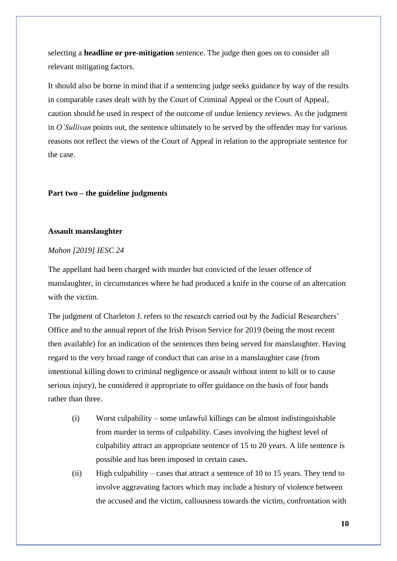selecting a **headline or pre-mitigation** sentence. The judge then goes on to consider all relevant mitigating factors.

It should also be borne in mind that if a sentencing judge seeks guidance by way of the results in comparable cases dealt with by the Court of Criminal Appeal or the Court of Appeal, caution should be used in respect of the outcome of undue leniency reviews. As the judgment in *O'Sullivan* points out, the sentence ultimately to be served by the offender may for various reasons not reflect the views of the Court of Appeal in relation to the appropriate sentence for the case.

## **Part two – the guideline judgments**

## **Assault manslaughter**

#### *Mahon [2019] IESC 24*

The appellant had been charged with murder but convicted of the lesser offence of manslaughter, in circumstances where he had produced a knife in the course of an altercation with the victim.

The judgment of Charleton J. refers to the research carried out by the Judicial Researchers' Office and to the annual report of the Irish Prison Service for 2019 (being the most recent then available) for an indication of the sentences then being served for manslaughter. Having regard to the very broad range of conduct that can arise in a manslaughter case (from intentional killing down to criminal negligence or assault without intent to kill or to cause serious injury), he considered it appropriate to offer guidance on the basis of four bands rather than three.

- (i) Worst culpability some unlawful killings can be almost indistinguishable from murder in terms of culpability. Cases involving the highest level of culpability attract an appropriate sentence of 15 to 20 years. A life sentence is possible and has been imposed in certain cases.
- (ii) High culpability cases that attract a sentence of 10 to 15 years. They tend to involve aggravating factors which may include a history of violence between the accused and the victim, callousness towards the victim, confrontation with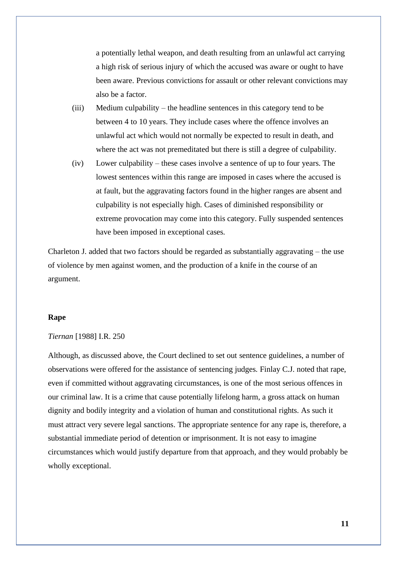a potentially lethal weapon, and death resulting from an unlawful act carrying a high risk of serious injury of which the accused was aware or ought to have been aware. Previous convictions for assault or other relevant convictions may also be a factor.

- (iii) Medium culpability the headline sentences in this category tend to be between 4 to 10 years. They include cases where the offence involves an unlawful act which would not normally be expected to result in death, and where the act was not premeditated but there is still a degree of culpability.
- (iv) Lower culpability these cases involve a sentence of up to four years. The lowest sentences within this range are imposed in cases where the accused is at fault, but the aggravating factors found in the higher ranges are absent and culpability is not especially high. Cases of diminished responsibility or extreme provocation may come into this category. Fully suspended sentences have been imposed in exceptional cases.

Charleton J. added that two factors should be regarded as substantially aggravating – the use of violence by men against women, and the production of a knife in the course of an argument.

## **Rape**

#### *Tiernan* [1988] I.R. 250

Although, as discussed above, the Court declined to set out sentence guidelines, a number of observations were offered for the assistance of sentencing judges. Finlay C.J. noted that rape, even if committed without aggravating circumstances, is one of the most serious offences in our criminal law. It is a crime that cause potentially lifelong harm, a gross attack on human dignity and bodily integrity and a violation of human and constitutional rights. As such it must attract very severe legal sanctions. The appropriate sentence for any rape is, therefore, a substantial immediate period of detention or imprisonment. It is not easy to imagine circumstances which would justify departure from that approach, and they would probably be wholly exceptional.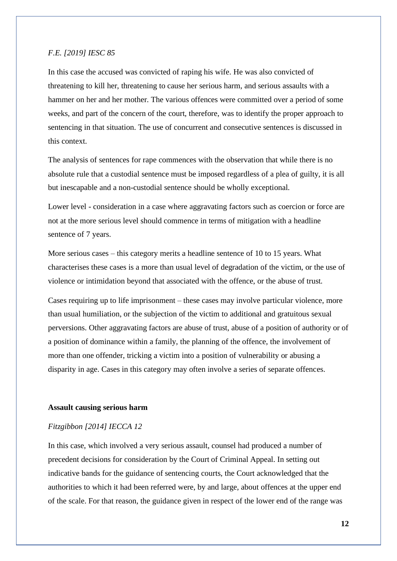## *F.E. [2019] IESC 85*

In this case the accused was convicted of raping his wife. He was also convicted of threatening to kill her, threatening to cause her serious harm, and serious assaults with a hammer on her and her mother. The various offences were committed over a period of some weeks, and part of the concern of the court, therefore, was to identify the proper approach to sentencing in that situation. The use of concurrent and consecutive sentences is discussed in this context.

The analysis of sentences for rape commences with the observation that while there is no absolute rule that a custodial sentence must be imposed regardless of a plea of guilty, it is all but inescapable and a non-custodial sentence should be wholly exceptional.

Lower level - consideration in a case where aggravating factors such as coercion or force are not at the more serious level should commence in terms of mitigation with a headline sentence of 7 years.

More serious cases – this category merits a headline sentence of 10 to 15 years. What characterises these cases is a more than usual level of degradation of the victim, or the use of violence or intimidation beyond that associated with the offence, or the abuse of trust.

Cases requiring up to life imprisonment – these cases may involve particular violence, more than usual humiliation, or the subjection of the victim to additional and gratuitous sexual perversions. Other aggravating factors are abuse of trust, abuse of a position of authority or of a position of dominance within a family, the planning of the offence, the involvement of more than one offender, tricking a victim into a position of vulnerability or abusing a disparity in age. Cases in this category may often involve a series of separate offences.

#### **Assault causing serious harm**

#### *Fitzgibbon [2014] IECCA 12*

In this case, which involved a very serious assault, counsel had produced a number of precedent decisions for consideration by the Court of Criminal Appeal. In setting out indicative bands for the guidance of sentencing courts, the Court acknowledged that the authorities to which it had been referred were, by and large, about offences at the upper end of the scale. For that reason, the guidance given in respect of the lower end of the range was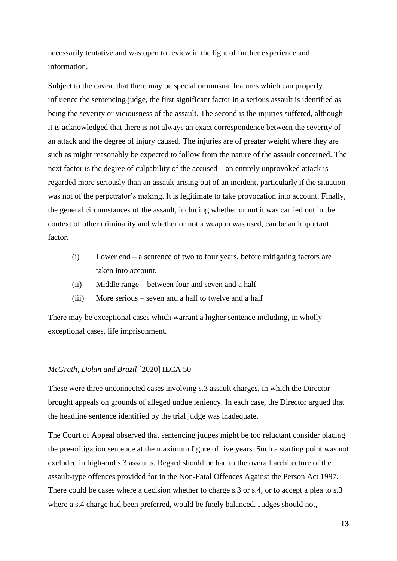necessarily tentative and was open to review in the light of further experience and information.

Subject to the caveat that there may be special or unusual features which can properly influence the sentencing judge, the first significant factor in a serious assault is identified as being the severity or viciousness of the assault. The second is the injuries suffered, although it is acknowledged that there is not always an exact correspondence between the severity of an attack and the degree of injury caused. The injuries are of greater weight where they are such as might reasonably be expected to follow from the nature of the assault concerned. The next factor is the degree of culpability of the accused – an entirely unprovoked attack is regarded more seriously than an assault arising out of an incident, particularly if the situation was not of the perpetrator's making. It is legitimate to take provocation into account. Finally, the general circumstances of the assault, including whether or not it was carried out in the context of other criminality and whether or not a weapon was used, can be an important factor.

- (i) Lower end a sentence of two to four years, before mitigating factors are taken into account.
- (ii) Middle range between four and seven and a half
- (iii) More serious seven and a half to twelve and a half

There may be exceptional cases which warrant a higher sentence including, in wholly exceptional cases, life imprisonment.

## *McGrath, Dolan and Brazil* [2020] IECA 50

These were three unconnected cases involving s.3 assault charges, in which the Director brought appeals on grounds of alleged undue leniency. In each case, the Director argued that the headline sentence identified by the trial judge was inadequate.

The Court of Appeal observed that sentencing judges might be too reluctant consider placing the pre-mitigation sentence at the maximum figure of five years. Such a starting point was not excluded in high-end s.3 assaults. Regard should be had to the overall architecture of the assault-type offences provided for in the Non-Fatal Offences Against the Person Act 1997. There could be cases where a decision whether to charge s.3 or s.4, or to accept a plea to s.3 where a s.4 charge had been preferred, would be finely balanced. Judges should not,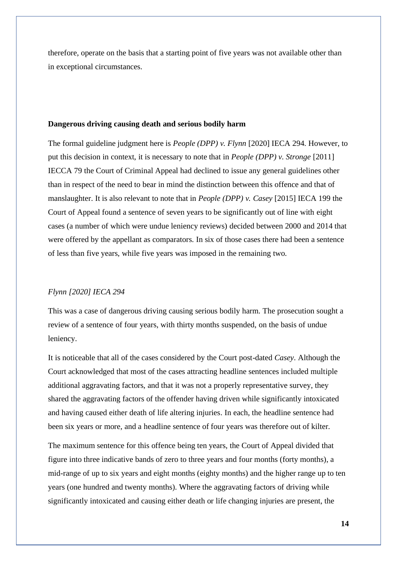therefore, operate on the basis that a starting point of five years was not available other than in exceptional circumstances.

## **Dangerous driving causing death and serious bodily harm**

The formal guideline judgment here is *People (DPP) v. Flynn* [2020] IECA 294. However, to put this decision in context, it is necessary to note that in *People (DPP) v. Stronge* [2011] IECCA 79 the Court of Criminal Appeal had declined to issue any general guidelines other than in respect of the need to bear in mind the distinction between this offence and that of manslaughter. It is also relevant to note that in *People (DPP) v. Casey* [2015] IECA 199 the Court of Appeal found a sentence of seven years to be significantly out of line with eight cases (a number of which were undue leniency reviews) decided between 2000 and 2014 that were offered by the appellant as comparators. In six of those cases there had been a sentence of less than five years, while five years was imposed in the remaining two.

## *Flynn [2020] IECA 294*

This was a case of dangerous driving causing serious bodily harm. The prosecution sought a review of a sentence of four years, with thirty months suspended, on the basis of undue leniency.

It is noticeable that all of the cases considered by the Court post-dated *Casey*. Although the Court acknowledged that most of the cases attracting headline sentences included multiple additional aggravating factors, and that it was not a properly representative survey, they shared the aggravating factors of the offender having driven while significantly intoxicated and having caused either death of life altering injuries. In each, the headline sentence had been six years or more, and a headline sentence of four years was therefore out of kilter.

The maximum sentence for this offence being ten years, the Court of Appeal divided that figure into three indicative bands of zero to three years and four months (forty months), a mid-range of up to six years and eight months (eighty months) and the higher range up to ten years (one hundred and twenty months). Where the aggravating factors of driving while significantly intoxicated and causing either death or life changing injuries are present, the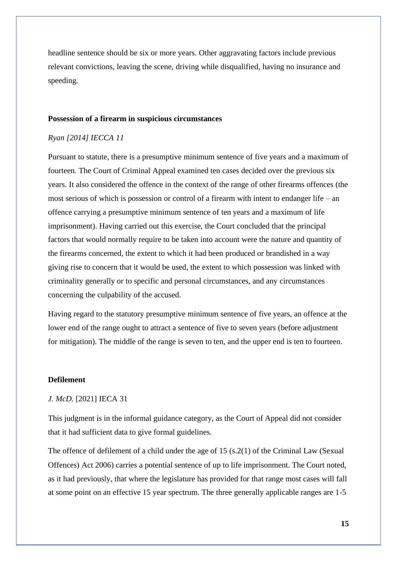headline sentence should be six or more years. Other aggravating factors include previous relevant convictions, leaving the scene, driving while disqualified, having no insurance and speeding.

#### **Possession of a firearm in suspicious circumstances**

## *Ryan [2014] IECCA 11*

Pursuant to statute, there is a presumptive minimum sentence of five years and a maximum of fourteen. The Court of Criminal Appeal examined ten cases decided over the previous six years. It also considered the offence in the context of the range of other firearms offences (the most serious of which is possession or control of a firearm with intent to endanger life – an offence carrying a presumptive minimum sentence of ten years and a maximum of life imprisonment). Having carried out this exercise, the Court concluded that the principal factors that would normally require to be taken into account were the nature and quantity of the firearms concerned, the extent to which it had been produced or brandished in a way giving rise to concern that it would be used, the extent to which possession was linked with criminality generally or to specific and personal circumstances, and any circumstances concerning the culpability of the accused.

Having regard to the statutory presumptive minimum sentence of five years, an offence at the lower end of the range ought to attract a sentence of five to seven years (before adjustment for mitigation). The middle of the range is seven to ten, and the upper end is ten to fourteen.

## **Defilement**

#### *J. McD.* [2021] IECA 31

This judgment is in the informal guidance category, as the Court of Appeal did not consider that it had sufficient data to give formal guidelines.

The offence of defilement of a child under the age of 15 (s.2(1) of the Criminal Law (Sexual Offences) Act 2006) carries a potential sentence of up to life imprisonment. The Court noted, as it had previously, that where the legislature has provided for that range most cases will fall at some point on an effective 15 year spectrum. The three generally applicable ranges are 1-5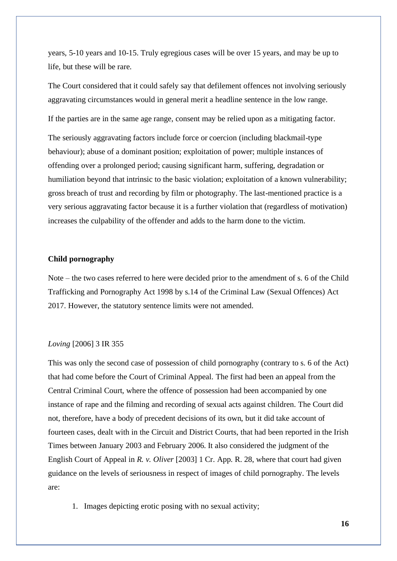years, 5-10 years and 10-15. Truly egregious cases will be over 15 years, and may be up to life, but these will be rare.

The Court considered that it could safely say that defilement offences not involving seriously aggravating circumstances would in general merit a headline sentence in the low range.

If the parties are in the same age range, consent may be relied upon as a mitigating factor.

The seriously aggravating factors include force or coercion (including blackmail-type behaviour); abuse of a dominant position; exploitation of power; multiple instances of offending over a prolonged period; causing significant harm, suffering, degradation or humiliation beyond that intrinsic to the basic violation; exploitation of a known vulnerability; gross breach of trust and recording by film or photography. The last-mentioned practice is a very serious aggravating factor because it is a further violation that (regardless of motivation) increases the culpability of the offender and adds to the harm done to the victim.

## **Child pornography**

Note – the two cases referred to here were decided prior to the amendment of s. 6 of the Child Trafficking and Pornography Act 1998 by s.14 of the Criminal Law (Sexual Offences) Act 2017. However, the statutory sentence limits were not amended.

#### *Loving* [2006] 3 IR 355

This was only the second case of possession of child pornography (contrary to s. 6 of the Act) that had come before the Court of Criminal Appeal. The first had been an appeal from the Central Criminal Court, where the offence of possession had been accompanied by one instance of rape and the filming and recording of sexual acts against children. The Court did not, therefore, have a body of precedent decisions of its own, but it did take account of fourteen cases, dealt with in the Circuit and District Courts, that had been reported in the Irish Times between January 2003 and February 2006. It also considered the judgment of the English Court of Appeal in *R. v. Oliver* [2003] 1 Cr. App. R. 28, where that court had given guidance on the levels of seriousness in respect of images of child pornography. The levels are:

1. Images depicting erotic posing with no sexual activity;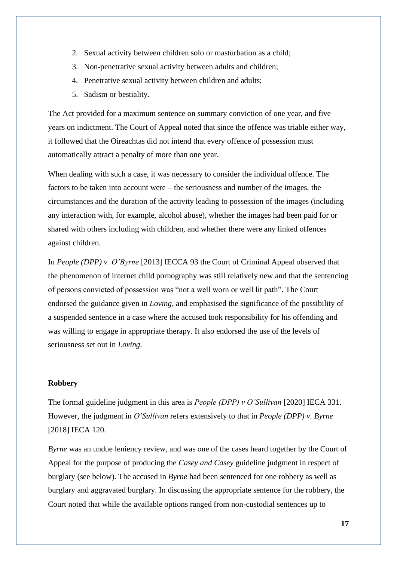- 2. Sexual activity between children solo or masturbation as a child;
- 3. Non-penetrative sexual activity between adults and children;
- 4. Penetrative sexual activity between children and adults;
- 5. Sadism or bestiality.

The Act provided for a maximum sentence on summary conviction of one year, and five years on indictment. The Court of Appeal noted that since the offence was triable either way, it followed that the Oireachtas did not intend that every offence of possession must automatically attract a penalty of more than one year.

When dealing with such a case, it was necessary to consider the individual offence. The factors to be taken into account were – the seriousness and number of the images, the circumstances and the duration of the activity leading to possession of the images (including any interaction with, for example, alcohol abuse), whether the images had been paid for or shared with others including with children, and whether there were any linked offences against children.

In *People (DPP) v. O'Byrne* [2013] IECCA 93 the Court of Criminal Appeal observed that the phenomenon of internet child pornography was still relatively new and that the sentencing of persons convicted of possession was "not a well worn or well lit path". The Court endorsed the guidance given in *Loving*, and emphasised the significance of the possibility of a suspended sentence in a case where the accused took responsibility for his offending and was willing to engage in appropriate therapy. It also endorsed the use of the levels of seriousness set out in *Loving*.

#### **Robbery**

The formal guideline judgment in this area is *People (DPP) v O'Sullivan* [2020] IECA 331. However, the judgment in *O'Sullivan* refers extensively to that in *People (DPP) v. Byrne* [2018] IECA 120.

*Byrne* was an undue leniency review, and was one of the cases heard together by the Court of Appeal for the purpose of producing the *Casey and Casey* guideline judgment in respect of burglary (see below). The accused in *Byrne* had been sentenced for one robbery as well as burglary and aggravated burglary. In discussing the appropriate sentence for the robbery, the Court noted that while the available options ranged from non-custodial sentences up to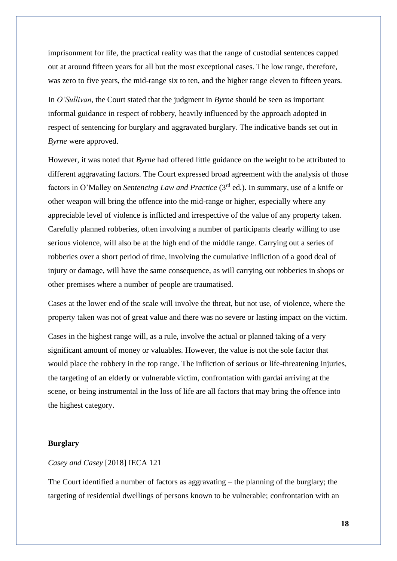imprisonment for life, the practical reality was that the range of custodial sentences capped out at around fifteen years for all but the most exceptional cases. The low range, therefore, was zero to five years, the mid-range six to ten, and the higher range eleven to fifteen years.

In *O'Sullivan*, the Court stated that the judgment in *Byrne* should be seen as important informal guidance in respect of robbery, heavily influenced by the approach adopted in respect of sentencing for burglary and aggravated burglary. The indicative bands set out in *Byrne* were approved.

However, it was noted that *Byrne* had offered little guidance on the weight to be attributed to different aggravating factors. The Court expressed broad agreement with the analysis of those factors in O'Malley on *Sentencing Law and Practice* (3rd ed.). In summary, use of a knife or other weapon will bring the offence into the mid-range or higher, especially where any appreciable level of violence is inflicted and irrespective of the value of any property taken. Carefully planned robberies, often involving a number of participants clearly willing to use serious violence, will also be at the high end of the middle range. Carrying out a series of robberies over a short period of time, involving the cumulative infliction of a good deal of injury or damage, will have the same consequence, as will carrying out robberies in shops or other premises where a number of people are traumatised.

Cases at the lower end of the scale will involve the threat, but not use, of violence, where the property taken was not of great value and there was no severe or lasting impact on the victim.

Cases in the highest range will, as a rule, involve the actual or planned taking of a very significant amount of money or valuables. However, the value is not the sole factor that would place the robbery in the top range. The infliction of serious or life-threatening injuries, the targeting of an elderly or vulnerable victim, confrontation with gardaí arriving at the scene, or being instrumental in the loss of life are all factors that may bring the offence into the highest category.

## **Burglary**

# *Casey and Casey* [2018] IECA 121

The Court identified a number of factors as aggravating – the planning of the burglary; the targeting of residential dwellings of persons known to be vulnerable; confrontation with an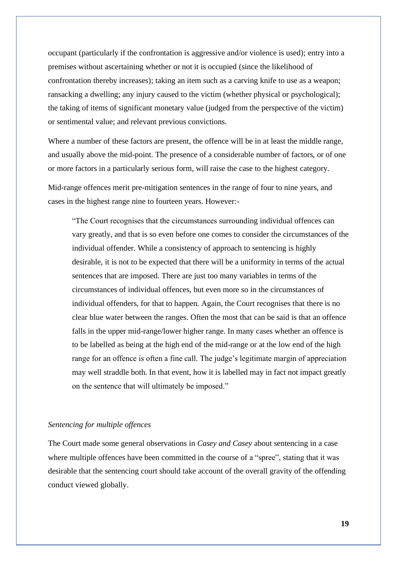occupant (particularly if the confrontation is aggressive and/or violence is used); entry into a premises without ascertaining whether or not it is occupied (since the likelihood of confrontation thereby increases); taking an item such as a carving knife to use as a weapon; ransacking a dwelling; any injury caused to the victim (whether physical or psychological); the taking of items of significant monetary value (judged from the perspective of the victim) or sentimental value; and relevant previous convictions.

Where a number of these factors are present, the offence will be in at least the middle range, and usually above the mid-point. The presence of a considerable number of factors, or of one or more factors in a particularly serious form, will raise the case to the highest category.

Mid-range offences merit pre-mitigation sentences in the range of four to nine years, and cases in the highest range nine to fourteen years. However:-

"The Court recognises that the circumstances surrounding individual offences can vary greatly, and that is so even before one comes to consider the circumstances of the individual offender. While a consistency of approach to sentencing is highly desirable, it is not to be expected that there will be a uniformity in terms of the actual sentences that are imposed. There are just too many variables in terms of the circumstances of individual offences, but even more so in the circumstances of individual offenders, for that to happen. Again, the Court recognises that there is no clear blue water between the ranges. Often the most that can be said is that an offence falls in the upper mid-range/lower higher range. In many cases whether an offence is to be labelled as being at the high end of the mid-range or at the low end of the high range for an offence is often a fine call. The judge's legitimate margin of appreciation may well straddle both. In that event, how it is labelled may in fact not impact greatly on the sentence that will ultimately be imposed."

## *Sentencing for multiple offences*

The Court made some general observations in *Casey and Casey* about sentencing in a case where multiple offences have been committed in the course of a "spree", stating that it was desirable that the sentencing court should take account of the overall gravity of the offending conduct viewed globally.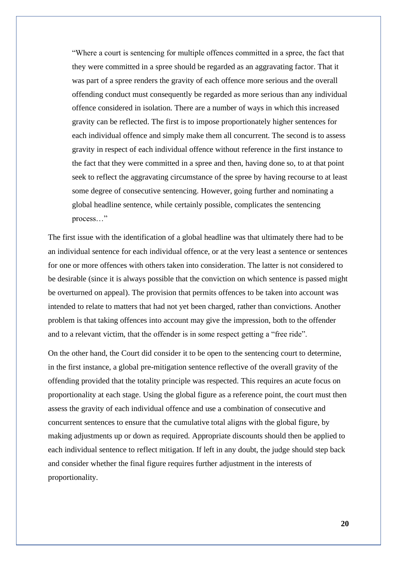"Where a court is sentencing for multiple offences committed in a spree, the fact that they were committed in a spree should be regarded as an aggravating factor. That it was part of a spree renders the gravity of each offence more serious and the overall offending conduct must consequently be regarded as more serious than any individual offence considered in isolation. There are a number of ways in which this increased gravity can be reflected. The first is to impose proportionately higher sentences for each individual offence and simply make them all concurrent. The second is to assess gravity in respect of each individual offence without reference in the first instance to the fact that they were committed in a spree and then, having done so, to at that point seek to reflect the aggravating circumstance of the spree by having recourse to at least some degree of consecutive sentencing. However, going further and nominating a global headline sentence, while certainly possible, complicates the sentencing process…"

The first issue with the identification of a global headline was that ultimately there had to be an individual sentence for each individual offence, or at the very least a sentence or sentences for one or more offences with others taken into consideration. The latter is not considered to be desirable (since it is always possible that the conviction on which sentence is passed might be overturned on appeal). The provision that permits offences to be taken into account was intended to relate to matters that had not yet been charged, rather than convictions. Another problem is that taking offences into account may give the impression, both to the offender and to a relevant victim, that the offender is in some respect getting a "free ride".

On the other hand, the Court did consider it to be open to the sentencing court to determine, in the first instance, a global pre-mitigation sentence reflective of the overall gravity of the offending provided that the totality principle was respected. This requires an acute focus on proportionality at each stage. Using the global figure as a reference point, the court must then assess the gravity of each individual offence and use a combination of consecutive and concurrent sentences to ensure that the cumulative total aligns with the global figure, by making adjustments up or down as required. Appropriate discounts should then be applied to each individual sentence to reflect mitigation. If left in any doubt, the judge should step back and consider whether the final figure requires further adjustment in the interests of proportionality.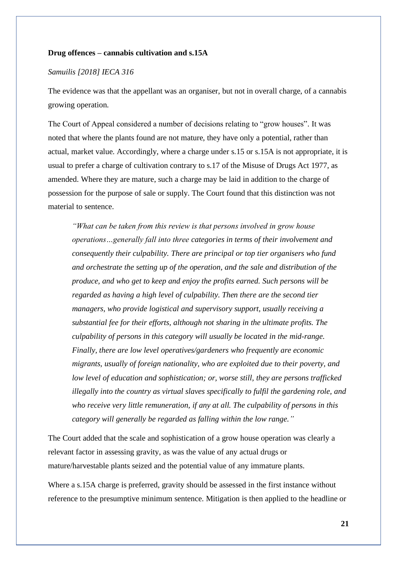## **Drug offences – cannabis cultivation and s.15A**

## *Samuilis [2018] IECA 316*

The evidence was that the appellant was an organiser, but not in overall charge, of a cannabis growing operation.

The Court of Appeal considered a number of decisions relating to "grow houses". It was noted that where the plants found are not mature, they have only a potential, rather than actual, market value. Accordingly, where a charge under s.15 or s.15A is not appropriate, it is usual to prefer a charge of cultivation contrary to s.17 of the Misuse of Drugs Act 1977, as amended. Where they are mature, such a charge may be laid in addition to the charge of possession for the purpose of sale or supply. The Court found that this distinction was not material to sentence.

*"What can be taken from this review is that persons involved in grow house operations…generally fall into three categories in terms of their involvement and consequently their culpability. There are principal or top tier organisers who fund and orchestrate the setting up of the operation, and the sale and distribution of the produce, and who get to keep and enjoy the profits earned. Such persons will be regarded as having a high level of culpability. Then there are the second tier managers, who provide logistical and supervisory support, usually receiving a substantial fee for their efforts, although not sharing in the ultimate profits. The culpability of persons in this category will usually be located in the mid-range. Finally, there are low level operatives/gardeners who frequently are economic migrants, usually of foreign nationality, who are exploited due to their poverty, and low level of education and sophistication; or, worse still, they are persons trafficked illegally into the country as virtual slaves specifically to fulfil the gardening role, and who receive very little remuneration, if any at all. The culpability of persons in this category will generally be regarded as falling within the low range."*

The Court added that the scale and sophistication of a grow house operation was clearly a relevant factor in assessing gravity, as was the value of any actual drugs or mature/harvestable plants seized and the potential value of any immature plants.

Where a s.15A charge is preferred, gravity should be assessed in the first instance without reference to the presumptive minimum sentence. Mitigation is then applied to the headline or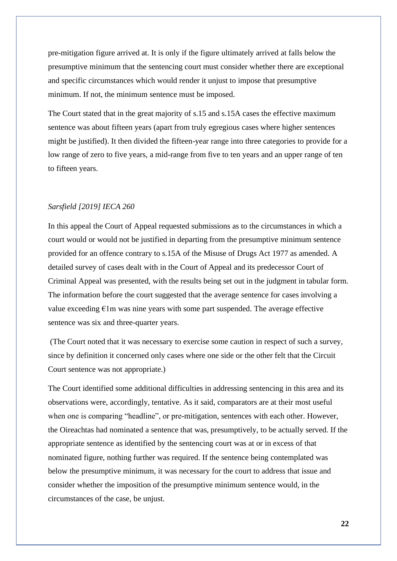pre-mitigation figure arrived at. It is only if the figure ultimately arrived at falls below the presumptive minimum that the sentencing court must consider whether there are exceptional and specific circumstances which would render it unjust to impose that presumptive minimum. If not, the minimum sentence must be imposed.

The Court stated that in the great majority of s.15 and s.15A cases the effective maximum sentence was about fifteen years (apart from truly egregious cases where higher sentences might be justified). It then divided the fifteen-year range into three categories to provide for a low range of zero to five years, a mid-range from five to ten years and an upper range of ten to fifteen years.

## *Sarsfield [2019] IECA 260*

In this appeal the Court of Appeal requested submissions as to the circumstances in which a court would or would not be justified in departing from the presumptive minimum sentence provided for an offence contrary to s.15A of the Misuse of Drugs Act 1977 as amended. A detailed survey of cases dealt with in the Court of Appeal and its predecessor Court of Criminal Appeal was presented, with the results being set out in the judgment in tabular form. The information before the court suggested that the average sentence for cases involving a value exceeding  $\epsilon$ 1m was nine years with some part suspended. The average effective sentence was six and three-quarter years.

(The Court noted that it was necessary to exercise some caution in respect of such a survey, since by definition it concerned only cases where one side or the other felt that the Circuit Court sentence was not appropriate.)

The Court identified some additional difficulties in addressing sentencing in this area and its observations were, accordingly, tentative. As it said, comparators are at their most useful when one is comparing "headline", or pre-mitigation, sentences with each other. However, the Oireachtas had nominated a sentence that was, presumptively, to be actually served. If the appropriate sentence as identified by the sentencing court was at or in excess of that nominated figure, nothing further was required. If the sentence being contemplated was below the presumptive minimum, it was necessary for the court to address that issue and consider whether the imposition of the presumptive minimum sentence would, in the circumstances of the case, be unjust.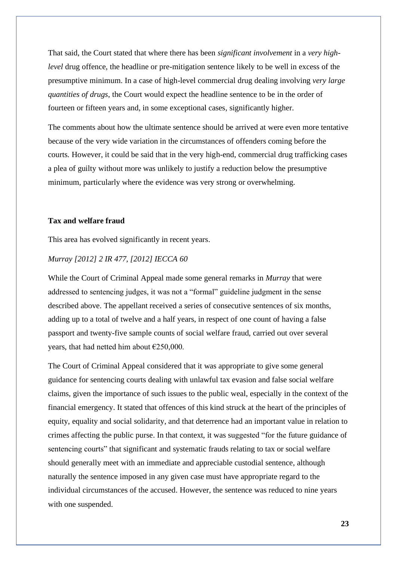That said, the Court stated that where there has been *significant involvement* in a *very highlevel* drug offence, the headline or pre-mitigation sentence likely to be well in excess of the presumptive minimum. In a case of high-level commercial drug dealing involving *very large quantities of drugs*, the Court would expect the headline sentence to be in the order of fourteen or fifteen years and, in some exceptional cases, significantly higher.

The comments about how the ultimate sentence should be arrived at were even more tentative because of the very wide variation in the circumstances of offenders coming before the courts. However, it could be said that in the very high-end, commercial drug trafficking cases a plea of guilty without more was unlikely to justify a reduction below the presumptive minimum, particularly where the evidence was very strong or overwhelming.

## **Tax and welfare fraud**

This area has evolved significantly in recent years.

# *Murray [2012] 2 IR 477, [2012] IECCA 60*

While the Court of Criminal Appeal made some general remarks in *Murray* that were addressed to sentencing judges, it was not a "formal" guideline judgment in the sense described above. The appellant received a series of consecutive sentences of six months, adding up to a total of twelve and a half years, in respect of one count of having a false passport and twenty-five sample counts of social welfare fraud, carried out over several years, that had netted him about €250,000.

The Court of Criminal Appeal considered that it was appropriate to give some general guidance for sentencing courts dealing with unlawful tax evasion and false social welfare claims, given the importance of such issues to the public weal, especially in the context of the financial emergency. It stated that offences of this kind struck at the heart of the principles of equity, equality and social solidarity, and that deterrence had an important value in relation to crimes affecting the public purse. In that context, it was suggested "for the future guidance of sentencing courts" that significant and systematic frauds relating to tax or social welfare should generally meet with an immediate and appreciable custodial sentence, although naturally the sentence imposed in any given case must have appropriate regard to the individual circumstances of the accused. However, the sentence was reduced to nine years with one suspended.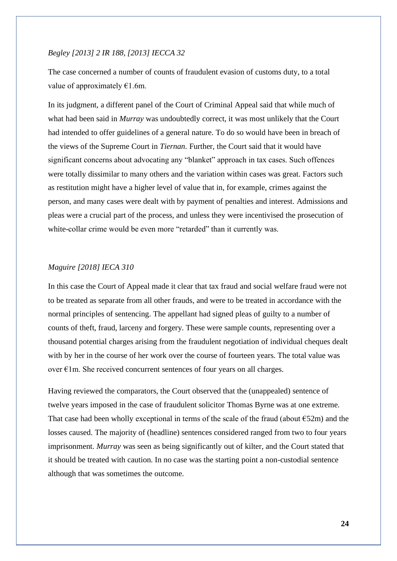## *Begley [2013] 2 IR 188, [2013] IECCA 32*

The case concerned a number of counts of fraudulent evasion of customs duty, to a total value of approximately  $€1.6$ m.

In its judgment, a different panel of the Court of Criminal Appeal said that while much of what had been said in *Murray* was undoubtedly correct, it was most unlikely that the Court had intended to offer guidelines of a general nature. To do so would have been in breach of the views of the Supreme Court in *Tiernan*. Further, the Court said that it would have significant concerns about advocating any "blanket" approach in tax cases. Such offences were totally dissimilar to many others and the variation within cases was great. Factors such as restitution might have a higher level of value that in, for example, crimes against the person, and many cases were dealt with by payment of penalties and interest. Admissions and pleas were a crucial part of the process, and unless they were incentivised the prosecution of white-collar crime would be even more "retarded" than it currently was.

## *Maguire [2018] IECA 310*

In this case the Court of Appeal made it clear that tax fraud and social welfare fraud were not to be treated as separate from all other frauds, and were to be treated in accordance with the normal principles of sentencing. The appellant had signed pleas of guilty to a number of counts of theft, fraud, larceny and forgery. These were sample counts, representing over a thousand potential charges arising from the fraudulent negotiation of individual cheques dealt with by her in the course of her work over the course of fourteen years. The total value was over  $\epsilon$ 1m. She received concurrent sentences of four years on all charges.

Having reviewed the comparators, the Court observed that the (unappealed) sentence of twelve years imposed in the case of fraudulent solicitor Thomas Byrne was at one extreme. That case had been wholly exceptional in terms of the scale of the fraud (about  $\epsilon$ 52m) and the losses caused. The majority of (headline) sentences considered ranged from two to four years imprisonment. *Murray* was seen as being significantly out of kilter, and the Court stated that it should be treated with caution. In no case was the starting point a non-custodial sentence although that was sometimes the outcome.